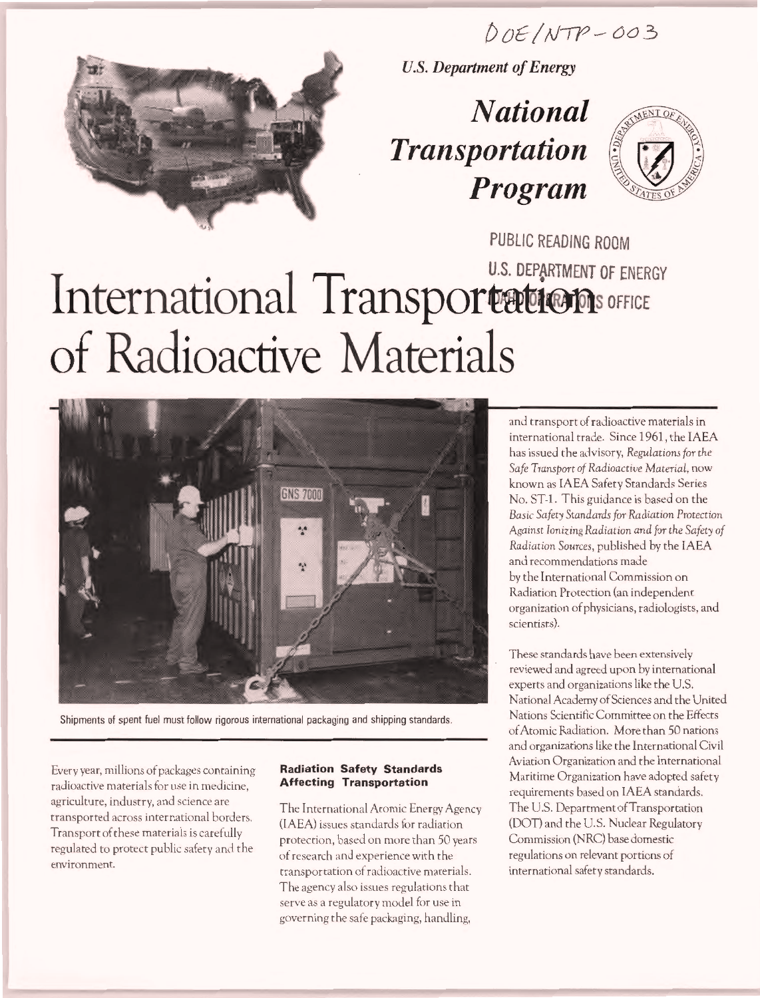# $DOE/NTP-OO3$



U.S. Department of Energy

# National Transportation Program



PUBLIC READING ROOM U.S. DEFARTMENT OF ENERGY International Iransportations OFFICE of Radioactive Materials



Shipments of spent fuel must follow rigorous international packaging and shipping standards.

Every year, millions of packages containing radioactive materials for use in medicine, agriculture, industry, and science are transported across international borders. Transport of these materials is carefully regulated to protect public safety and the environment.

#### Radiation Safety Standards Affecting Transportation

The International Atomic Energy Agency (IAEA) issues standards for radiation protection, based on more than 50 years of research and experience with the transportation of radioactive materials. The agency also issues regulations that serve as a regulatory model for use in governing the safe packaging, handling,

and transport of radioactive materials in international trade. Since 1961, the IAEA has issued the advisory, Regulations for the Safe Transport of Radioactive Material, now known as IAEA Safety Standards Series No. ST-1. This guidance is based on the Basic Safety Standards for Radiation Protection Against Ionizing Radiation and for the Safety of Radiation Sources, published by the IAEA and recommendations made by the International Commission on Radiation Protection (an independent organization of physicians, radiologists, and scientists).

These standards have been extensively reviewed and agreed upon by international experts and organizations like the U.S. National Academy of Sciences and the United Nations Scientific Committee on the Effects of Atomic Radiation. More than 50 nations and organizations like the International Civil Aviation Organization and the International Maritime Organization have adopted safety requirements based on IAEA standards. The U.S. Department of Transportation (DOT) and the U.S. Nuclear Regulatory Commission (NRC) base domestic regulations on relevant portions of international safety standards.